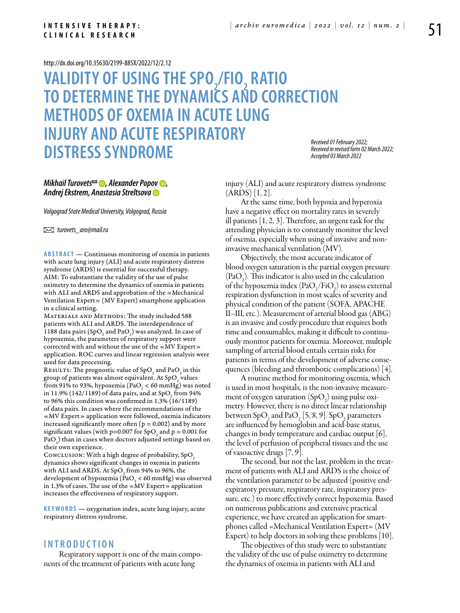#### **I N T E N S I V E T H E R A P Y : C L I N I C A L R E S E A R C H**

#### <http://dx.doi.org/10.35630/2199-885X/2022/12/2.12>

# **VALIDITY OF USING THE SPO<sub>2</sub>/FIO<sub>2</sub> RATIO TO DETERMINETHE DYNAMICS AND CORRECTION METHODS OF OXEMIA IN ACUTE LUNG INJURY AND ACUTE RESPIRATORY DISTRESS SYNDROME**

*Received 01 February 2022; Received in revised form 02 March 2022; Accepted 03 March 2022*

# *[Mikhail Turovets](https://orcid.org/0000-0003-0793-5098) , [Alexander Popov](https://orcid.org/0000-0003-2241-8144) , Andrej Ekstrem, [Anastasia Streltsova](https://orcid.org/0000-0001-9016-3011)*

*Volgograd State Medical University, Volgograd, Russia*

 *turovets\_aro@mail.ru*

**Abstract** — Continuous monitoring of oxemia in patients with acute lung injury (ALI) and acute respiratory distress syndrome (ARDS) is essential for successful therapy. AIM: To substantiate the validity of the use of pulse oximetry to determine the dynamics of oxemia in patients with ALI and ARDS and approbation of the «Mechanical Ventilation Expert» (MV Expert) smartphone application in a clinical setting.

MATERIALS AND METHODS: The study included 588 patients with ALI and ARDS. The interdependence of 1188 data pairs (SpO<sub>2</sub> and PaO<sub>2</sub>) was analyzed. In case of hypoxemia, the parameters of respiratory support were corrected with and without the use of the «MV Expert» application. ROC curves and linear regression analysis were used for data processing.

RESULTS: The prognostic value of  $\text{SpO}_2$  and  $\text{PaO}_2$  in this group of patients was almost equivalent. At  $\mathrm{SpO}_2$  values from 91% to 93%, hypoxemia (PaO<sub>2</sub> < 60 mmHg) was noted in 11.9% (142/1189) of data pairs, and at SpO<sub>2</sub> from 94% to 96% this condition was confirmed in  $1.3\%$  (16/1189) of data pairs. In cases where the recommendations of the «MV Expert» application were followed, oxemia indicators increased significantly more often ( $p = 0.002$ ) and by more significant values (with p=0.007 for SpO<sub>2</sub> and p = 0.001 for PaO<sub>2</sub>) than in cases when doctors adjusted settings based on their own experience.

CONCLUSION: With a high degree of probability, SpO2 dynamics shows significant changes in oxemia in patients with ALI and ARDS. At SpO<sub>2</sub> from 94% to 96%, the development of hypoxemia (PaO<sub>2</sub> < 60 mmHg) was observed in 1.3% of cases. The use of the «MV Expert» application increases the effectiveness of respiratory support.

**KEYWORDS** — oxygenation index, acute lung injury, acute respiratory distress syndrome.

### **I n t r o ducti o n**

Respiratory support is one of the main components of the treatment of patients with acute lung

injury (ALI) and acute respiratory distress syndrome  $(ARDS)$  [1, 2].

At the same time, both hypoxia and hyperoxia have a negative effect on mortality rates in severely ill patients [1, 2, 3]. Therefore, an urgent task for the attending physician is to constantly monitor the level of oxemia, especially when using of invasive and noninvasive mechanical ventilation (MV).

Objectively, the most accurate indicator of blood oxygen saturation is the partial oxygen pressure  $(PaO<sub>2</sub>)$ . This indicator is also used in the calculation of the hypoxemia index  $(\text{PaO}_2/\text{FiO}_2)$  to assess external respiration dysfunction in most scales of severity and physical condition of the patient (SOFA, APACHE II–III, etc.). Measurement of arterial blood gas (ABG) is an invasive and costly procedure that requires both time and consumables, making it difficult to continuously monitor patients for oxemia. Moreover, multiple sampling of arterial blood entails certain risks for patients in terms of the development of adverse consequences (bleeding and thrombotic complications) [4].

A routine method for monitoring oxemia, which is used in most hospitals, is the non-invasive measurement of oxygen saturation  $(SpO<sub>2</sub>)$  using pulse oximetry. However, there is no direct linear relationship between  $SpO_2$  and  $PaO_2$  [5, 8, 9].  $SpO_2$  parameters are influenced by hemoglobin and acid-base status, changes in body temperature and cardiac output [6], the level of perfusion of peripheral tissues and the use of vasoactive drugs [7, 9].

The second, but not the last, problem in the treatment of patients with ALI and ARDS is the choice of the ventilation parameter to be adjusted (positive endexpiratory pressure, respiratory rate, inspiratory pressure, etc.) to more effectively correct hypoxemia. Based on numerous publications and extensive practical experience, we have created an application for smartphones called «Mechanical Ventilation Expert» (MV Expert) to help doctors in solving these problems [10].

The objectives of this study were to substantiate the validity of the use of pulse oximetry to determine the dynamics of oxemia in patients with ALI and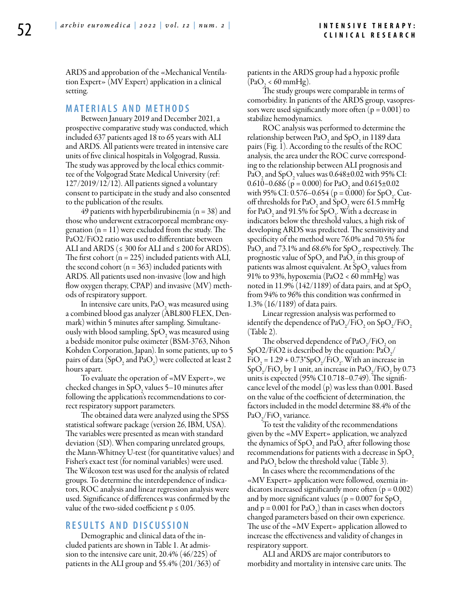ARDS and approbation of the «Mechanical Ventilation Expert» (MV Expert) application in a clinical setting.

### **M ATE R I A LS A N D MET H O D S**

Between January 2019 and December 2021, a prospective comparative study was conducted, which included 637 patients aged 18 to 65 years with ALI and ARDS. All patients were treated in intensive care units of five clinical hospitals in Volgograd, Russia. The study was approved by the local ethics committee of the Volgograd State Medical University (ref: 127/2019/12/12). All patients signed a voluntary consent to participate in the study and also consented to the publication of the results.

49 patients with hyperbilirubinemia ( $n = 38$ ) and those who underwent extracorporeal membrane oxygenation  $(n = 11)$  were excluded from the study. The PaO2/FiO2 ratio was used to differentiate between ALI and ARDS ( $\leq 300$  for ALI and  $\leq 200$  for ARDS). The first cohort ( $n = 225$ ) included patients with ALI, the second cohort ( $n = 363$ ) included patients with ARDS. All patients used non-invasive (low and high flow oxygen therapy, CPAP) and invasive (MV) methods of respiratory support.

In intensive care units,  $PaO<sub>2</sub>$  was measured using a combined blood gas analyzer (ABL800 FLEX, Denmark) within 5 minutes after sampling. Simultaneously with blood sampling,  $SpO<sub>2</sub>$  was measured using a bedside monitor pulse oximeter (BSM-3763, Nihon Kohden Corporation, Japan). In some patients, up to 5 pairs of data (SpO<sub>2</sub> and PaO<sub>2</sub>) were collected at least 2 hours apart.

To evaluate the operation of «MV Expert», we checked changes in  $SpO_2$  values 5–10 minutes after following the application's recommendations to correct respiratory support parameters.

The obtained data were analyzed using the SPSS statistical software package (version 26, IBM, USA). The variables were presented as mean with standard deviation (SD). When comparing unrelated groups, the Mann-Whitney U-test (for quantitative values) and Fisher's exact test (for nominal variables) were used. The Wilcoxon test was used for the analysis of related groups. To determine the interdependence of indicators, ROC analysis and linear regression analysis were used. Significance of differences was confirmed by the value of the two-sided coefficient  $p \leq 0.05$ .

# **R ES U LTS A N D D ISC U SSI ON**

Demographic and clinical data of the included patients are shown in Table 1. At admission to the intensive care unit, 20.4% (46/225) of patients in the ALI group and 55.4% (201/363) of patients in the ARDS group had a hypoxic profile  $(PaO<sub>2</sub> < 60 mmHg).$ 

The study groups were comparable in terms of comorbidity. In patients of the ARDS group, vasopressors were used significantly more often ( $p = 0.001$ ) to stabilize hemodynamics.

ROC analysis was performed to determine the relationship between  $PaO<sub>2</sub>$  and SpO<sub>2</sub> in 1189 data pairs (Fig. 1). According to the results of the ROC analysis, the area under the ROC curve corresponding to the relationship between ALI prognosis and PaO<sub>2</sub> and SpO<sub>2</sub> values was  $0.648\pm0.02$  with 95% CI: 0.610–0.686 ( $p = 0.000$ ) for PaO<sub>2</sub> and 0.615±0.02 with 95% CI: 0.576–0.654 ( $p = 0.000$ ) for SpO<sub>2</sub>. Cutoff thresholds for PaO<sub>2</sub> and SpO<sub>2</sub> were 61.5 mmHg for PaO<sub>2</sub> and 91.5% for SpO<sub>2</sub>. With a decrease in indicators below the threshold values, a high risk of developing ARDS was predicted. The sensitivity and specificity of the method were 76.0% and 70.5% for PaO<sub>2</sub> and 73.1% and 68.6% for SpO<sub>2</sub>, respectively. The prognostic value of SpO<sub>2</sub> and PaO<sub>2</sub> in this group of patients was almost equivalent. At  $SpO<sub>2</sub>$  values from 91% to 93%, hypoxemia (PaO2 < 60 mmHg) was noted in 11.9% (142/1189) of data pairs, and at SpO, from 94% to 96% this condition was confirmed in 1.3% (16/1189) of data pairs.

Linear regression analysis was performed to identify the dependence of  $PaO_2/FiO_2$  on  $SpO_2/FiO_2$ (Table 2).

The observed dependence of  $PaO_2/FiO_2$  on SpO2/FiO2 is described by the equation:  $PaO_2/$  $FiO<sub>2</sub> = 1.29 + 0.73*SpO<sub>2</sub>/FiO<sub>2</sub>. With an increase in$  $SpO_2/FiO_2$  by 1 unit, an increase in PaO<sub>2</sub>/FiO<sub>2</sub> by 0.73 units is expected (95% CI 0.718–0.749). The significance level of the model (p) was less than 0.001. Based on the value of the coefficient of determination, the factors included in the model determine 88.4% of the  $PaO_2/FiO_2$  variance.

To test the validity of the recommendations given by the «MV Expert» application, we analyzed the dynamics of SpO<sub>2</sub> and PaO<sub>2</sub> after following those recommendations for patients with a decrease in  $SpO<sub>2</sub>$ and  $PaO<sub>2</sub>$  below the threshold value (Table 3).

In cases where the recommendations of the «MV Expert» application were followed, oxemia indicators increased significantly more often ( $p = 0.002$ ) and by more significant values ( $p = 0.007$  for SpO, and  $p = 0.001$  for  $PaO<sub>2</sub>$ ) than in cases when doctors changed parameters based on their own experience. The use of the «MV Expert» application allowed to increase the effectiveness and validity of changes in respiratory support.

ALI and ARDS are major contributors to morbidity and mortality in intensive care units. The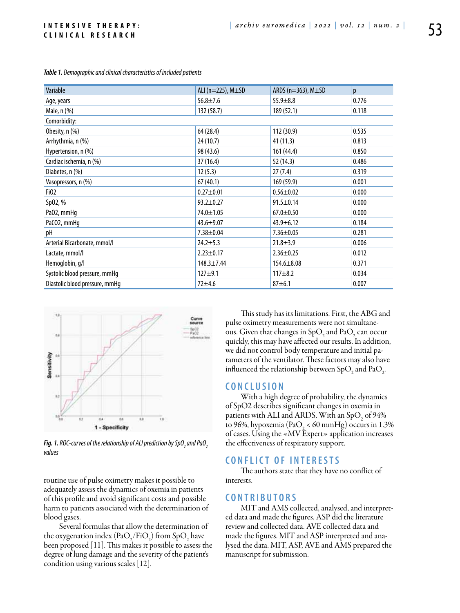#### **I N T E N S I V E T H E R A P Y : C L I N I C A L R E S E A R C H**

| Variable                       | ALI ( $n=225$ ), $M\pm SD$ | ARDS ( $n=363$ ), $M\pm SD$ | p     |  |  |  |  |  |
|--------------------------------|----------------------------|-----------------------------|-------|--|--|--|--|--|
| Age, years                     | $56.8 \pm 7.6$             | $55.9 \pm 8.8$              | 0.776 |  |  |  |  |  |
| Male, n (%)                    | 132 (58.7)                 | 189 (52.1)                  | 0.118 |  |  |  |  |  |
| Comorbidity:                   |                            |                             |       |  |  |  |  |  |
| Obesity, n (%)                 | 64 (28.4)                  | 112 (30.9)                  | 0.535 |  |  |  |  |  |
| Arrhythmia, n (%)              | 24 (10.7)                  | 41 (11.3)                   | 0.813 |  |  |  |  |  |
| Hypertension, n (%)            | 98 (43.6)                  | 161 (44.4)                  | 0.850 |  |  |  |  |  |
| Cardiac ischemia, n (%)        | 37(16.4)                   | 52 (14.3)                   | 0.486 |  |  |  |  |  |
| Diabetes, n (%)                | 12(5.3)                    | 27(7.4)                     | 0.319 |  |  |  |  |  |
| Vasopressors, n (%)            | 67(40.1)                   | 169 (59.9)                  | 0.001 |  |  |  |  |  |
| Fi02                           | $0.27 + 0.01$              | $0.56 \pm 0.02$             | 0.000 |  |  |  |  |  |
| Sp02, %                        | $93.2 \pm 0.27$            | $91.5 \pm 0.14$             | 0.000 |  |  |  |  |  |
| Pa02, mmHq                     | 74.0±1.05                  | $67.0 \pm 0.50$             | 0.000 |  |  |  |  |  |
| PaCO2, mmHq                    | $43.6 + 9.07$              | $43.9 \pm 6.12$             | 0.184 |  |  |  |  |  |
| рH                             | $7.38 + 0.04$              | $7.36 \pm 0.05$             | 0.281 |  |  |  |  |  |
| Arterial Bicarbonate, mmol/l   | $24.2 \pm 5.3$             | $21.8 \pm 3.9$              | 0.006 |  |  |  |  |  |
| Lactate, mmol/l                | $2.23 \pm 0.17$            | $2.36 \pm 0.25$             | 0.012 |  |  |  |  |  |
| Hemoglobin, g/l                | $148.3 \pm 7.44$           | $154.6 \pm 8.08$            | 0.371 |  |  |  |  |  |
| Systolic blood pressure, mmHq  | $127 + 9.1$                | $117 + 8.2$                 | 0.034 |  |  |  |  |  |
| Diastolic blood pressure, mmHq | $72 + 4.6$                 | $87 + 6.1$                  | 0.007 |  |  |  |  |  |

*Table 1. Demographic and clinical characteristics of included patients*



**Fig. 1.** ROC-curves of the relationship of ALI prediction by SpO<sub>2</sub> and PaO $_2^{}$ *values*

routine use of pulse oximetry makes it possible to adequately assess the dynamics of oxemia in patients of this profile and avoid significant costs and possible harm to patients associated with the determination of blood gases.

Several formulas that allow the determination of the oxygenation index  $\left(\frac{\text{PaO}_2}{\text{FiO}_2}\right)$  from  $\text{SpO}_2$  have been proposed [11]. This makes it possible to assess the degree of lung damage and the severity of the patient's condition using various scales [12].

This study has its limitations. First, the ABG and pulse oximetry measurements were not simultaneous. Given that changes in  $SpO<sub>2</sub>$  and  $PaO<sub>2</sub>$  can occur quickly, this may have affected our results. In addition, we did not control body temperature and initial parameters of the ventilator. These factors may also have influenced the relationship between SpO<sub>2</sub> and PaO<sub>2</sub> .

## **C ON C L U SI ON**

With a high degree of probability, the dynamics of SpO2 describes significant changes in oxemia in patients with ALI and ARDS. With an  $SpO<sub>2</sub>$  of 94% to 96%, hypoxemia (PaO<sub>2</sub> < 60 mmHg) occurs in 1.3% of cases. Using the «MV Expert» application increases the effectiveness of respiratory support.

# **C ON F L I CT O F I NTE R ESTS**

The authors state that they have no conflict of interests.

## $CONTRIBUTORS$

MIT and AMS collected, analysed, and interpreted data and made the figures. ASP did the literature review and collected data. AVE collected data and made the figures. MIT and ASP interpreted and analysed the data. MIT, ASP, AVE and AMS prepared the manuscript for submission.